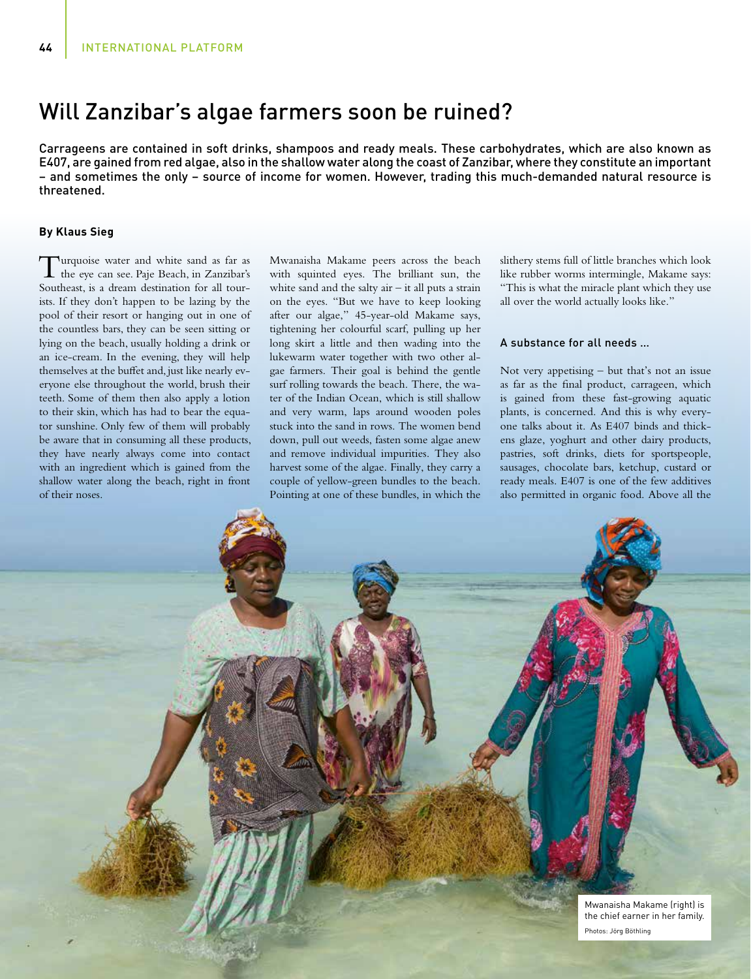# Will Zanzibar's algae farmers soon be ruined?

Carrageens are contained in soft drinks, shampoos and ready meals. These carbohydrates, which are also known as E407, are gained from red algae, also in the shallow water along the coast of Zanzibar, where they constitute an important – and sometimes the only – source of income for women. However, trading this much-demanded natural resource is threatened.

## **By Klaus Sieg**

Turquoise water and white sand as far as the eye can see. Paje Beach, in Zanzibar's Southeast, is a dream destination for all tourists. If they don't happen to be lazing by the pool of their resort or hanging out in one of the countless bars, they can be seen sitting or lying on the beach, usually holding a drink or an ice-cream. In the evening, they will help themselves at the buffet and, just like nearly everyone else throughout the world, brush their teeth. Some of them then also apply a lotion to their skin, which has had to bear the equator sunshine. Only few of them will probably be aware that in consuming all these products, they have nearly always come into contact with an ingredient which is gained from the shallow water along the beach, right in front of their noses.

Mwanaisha Makame peers across the beach with squinted eyes. The brilliant sun, the white sand and the salty  $air - it$  all puts a strain on the eyes. "But we have to keep looking after our algae," 45-year-old Makame says, tightening her colourful scarf, pulling up her long skirt a little and then wading into the lukewarm water together with two other algae farmers. Their goal is behind the gentle surf rolling towards the beach. There, the water of the Indian Ocean, which is still shallow and very warm, laps around wooden poles stuck into the sand in rows. The women bend down, pull out weeds, fasten some algae anew and remove individual impurities. They also harvest some of the algae. Finally, they carry a couple of yellow-green bundles to the beach. Pointing at one of these bundles, in which the

slithery stems full of little branches which look like rubber worms intermingle, Makame says: "This is what the miracle plant which they use all over the world actually looks like."

#### A substance for all needs …

Not very appetising – but that's not an issue as far as the final product, carrageen, which is gained from these fast-growing aquatic plants, is concerned. And this is why everyone talks about it. As E407 binds and thickens glaze, yoghurt and other dairy products, pastries, soft drinks, diets for sportspeople, sausages, chocolate bars, ketchup, custard or ready meals. E407 is one of the few additives also permitted in organic food. Above all the

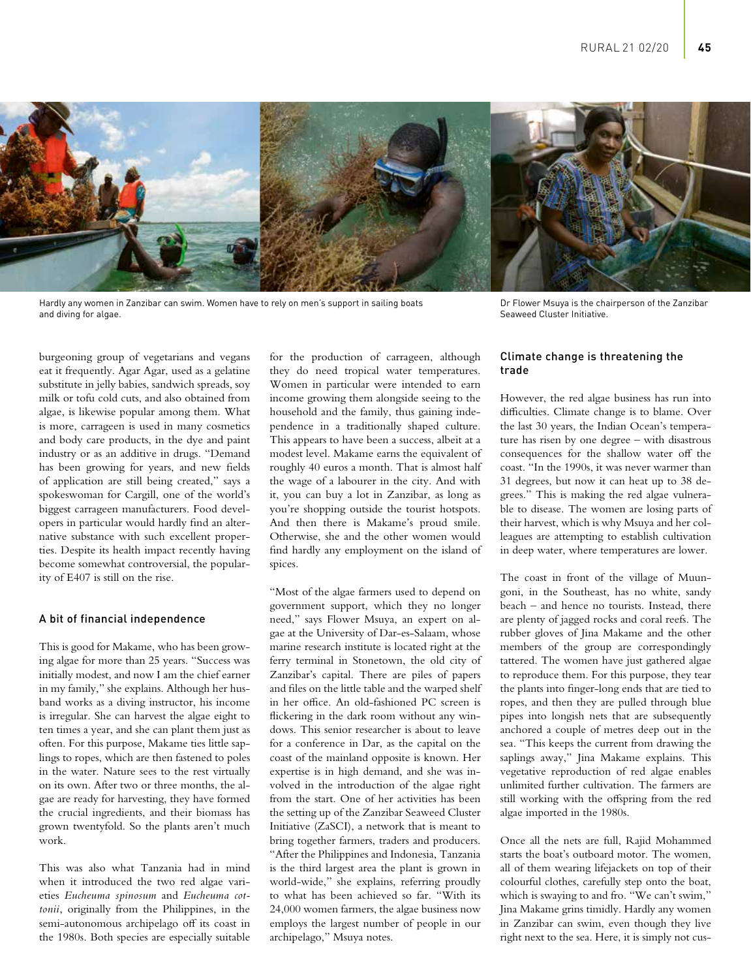

Hardly any women in Zanzibar can swim. Women have to rely on men's support in sailing boats and diving for algae.

burgeoning group of vegetarians and vegans eat it frequently. Agar Agar, used as a gelatine substitute in jelly babies, sandwich spreads, soy milk or tofu cold cuts, and also obtained from algae, is likewise popular among them. What is more, carrageen is used in many cosmetics and body care products, in the dye and paint industry or as an additive in drugs. "Demand has been growing for years, and new fields of application are still being created," says a spokeswoman for Cargill, one of the world's biggest carrageen manufacturers. Food developers in particular would hardly find an alternative substance with such excellent properties. Despite its health impact recently having become somewhat controversial, the popularity of E407 is still on the rise.

## A bit of financial independence

This is good for Makame, who has been growing algae for more than 25 years. "Success was initially modest, and now I am the chief earner in my family," she explains. Although her husband works as a diving instructor, his income is irregular. She can harvest the algae eight to ten times a year, and she can plant them just as often. For this purpose, Makame ties little saplings to ropes, which are then fastened to poles in the water. Nature sees to the rest virtually on its own. After two or three months, the algae are ready for harvesting, they have formed the crucial ingredients, and their biomass has grown twentyfold. So the plants aren't much work.

This was also what Tanzania had in mind when it introduced the two red algae varieties *Eucheuma spinosum* and *Eucheuma cottonii*, originally from the Philippines, in the semi-autonomous archipelago off its coast in the 1980s. Both species are especially suitable for the production of carrageen, although they do need tropical water temperatures. Women in particular were intended to earn income growing them alongside seeing to the household and the family, thus gaining independence in a traditionally shaped culture. This appears to have been a success, albeit at a modest level. Makame earns the equivalent of roughly 40 euros a month. That is almost half the wage of a labourer in the city. And with it, you can buy a lot in Zanzibar, as long as you're shopping outside the tourist hotspots. And then there is Makame's proud smile. Otherwise, she and the other women would find hardly any employment on the island of spices.

"Most of the algae farmers used to depend on government support, which they no longer need," says Flower Msuya, an expert on algae at the University of Dar-es-Salaam, whose marine research institute is located right at the ferry terminal in Stonetown, the old city of Zanzibar's capital. There are piles of papers and files on the little table and the warped shelf in her office. An old-fashioned PC screen is flickering in the dark room without any windows. This senior researcher is about to leave for a conference in Dar, as the capital on the coast of the mainland opposite is known. Her expertise is in high demand, and she was involved in the introduction of the algae right from the start. One of her activities has been the setting up of the Zanzibar Seaweed Cluster Initiative (ZaSCI), a network that is meant to bring together farmers, traders and producers. "After the Philippines and Indonesia, Tanzania is the third largest area the plant is grown in world-wide," she explains, referring proudly to what has been achieved so far. "With its 24,000 women farmers, the algae business now employs the largest number of people in our archipelago," Msuya notes.

Dr Flower Msuya is the chairperson of the Zanzibar Seaweed Cluster Initiative.

# Climate change is threatening the trade

However, the red algae business has run into difficulties. Climate change is to blame. Over the last 30 years, the Indian Ocean's temperature has risen by one degree – with disastrous consequences for the shallow water off the coast. "In the 1990s, it was never warmer than 31 degrees, but now it can heat up to 38 degrees." This is making the red algae vulnerable to disease. The women are losing parts of their harvest, which is why Msuya and her colleagues are attempting to establish cultivation in deep water, where temperatures are lower.

The coast in front of the village of Muungoni, in the Southeast, has no white, sandy beach – and hence no tourists. Instead, there are plenty of jagged rocks and coral reefs. The rubber gloves of Jina Makame and the other members of the group are correspondingly tattered. The women have just gathered algae to reproduce them. For this purpose, they tear the plants into finger-long ends that are tied to ropes, and then they are pulled through blue pipes into longish nets that are subsequently anchored a couple of metres deep out in the sea. "This keeps the current from drawing the saplings away," Jina Makame explains. This vegetative reproduction of red algae enables unlimited further cultivation. The farmers are still working with the offspring from the red algae imported in the 1980s.

Once all the nets are full, Rajid Mohammed starts the boat's outboard motor. The women, all of them wearing lifejackets on top of their colourful clothes, carefully step onto the boat, which is swaying to and fro. "We can't swim," Jina Makame grins timidly. Hardly any women in Zanzibar can swim, even though they live right next to the sea. Here, it is simply not cus